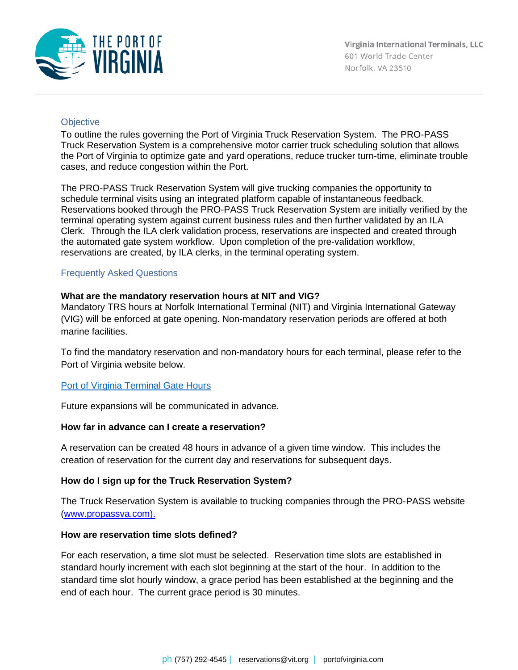

## **Objective**

To outline the rules governing the Port of Virginia Truck Reservation System. The PRO-PASS Truck Reservation System is a comprehensive motor carrier truck scheduling solution that allows the Port of Virginia to optimize gate and yard operations, reduce trucker turn-time, eliminate trouble cases, and reduce congestion within the Port.

The PRO-PASS Truck Reservation System will give trucking companies the opportunity to schedule terminal visits using an integrated platform capable of instantaneous feedback. Reservations booked through the PRO-PASS Truck Reservation System are initially verified by the terminal operating system against current business rules and then further validated by an ILA Clerk. Through the ILA clerk validation process, reservations are inspected and created through the automated gate system workflow. Upon completion of the pre-validation workflow, reservations are created, by ILA clerks, in the terminal operating system.

### Frequently Asked Questions

### **What are the mandatory reservation hours at NIT and VIG?**

Mandatory TRS hours at Norfolk International Terminal (NIT) and Virginia International Gateway (VIG) will be enforced at gate opening. Non-mandatory reservation periods are offered at both marine facilities.

To find the mandatory reservation and non-mandatory hours for each terminal, please refer to the Port of Virginia website below.

### **[Port of Virginia Terminal Gate Hours](https://nam10.safelinks.protection.outlook.com/?url=https%3A%2F%2Fe9c4d8125531429bbb285d55dceab31b.svc.dynamics.com%2Ft%2Ft%2FGz0PDtLFwBpb2qbOqQcS8iKknTxefQEvltVxWruX84wx%2FFkkQr271GQbkdCSqzJJLNL3jLxhJUQUaUgrFwFbrtz8x&data=05%7C01%7Csmooney%40portofvirginia.com%7C2aaaa27e2f38474631e008da32a41bfe%7Cd08b9a58070f441394cd9c6f695f5c10%7C1%7C0%7C637877977685990033%7CUnknown%7CTWFpbGZsb3d8eyJWIjoiMC4wLjAwMDAiLCJQIjoiV2luMzIiLCJBTiI6Ik1haWwiLCJXVCI6Mn0%3D%7C3000%7C%7C%7C&sdata=pZi7OeJ%2BUPMj1nBj%2FDW15OIWMI4W2FPFR%2B77Pglxmlw%3D&reserved=0)**

Future expansions will be communicated in advance.

### **How far in advance can I create a reservation?**

A reservation can be created 48 hours in advance of a given time window. This includes the creation of reservation for the current day and reservations for subsequent days.

### **How do I sign up for the Truck Reservation System?**

The Truck Reservation System is available to trucking companies through the PRO-PASS website [\(www.propassva.com\)](http://www.propassva.com/).

### **How are reservation time slots defined?**

For each reservation, a time slot must be selected. Reservation time slots are established in standard hourly increment with each slot beginning at the start of the hour. In addition to the standard time slot hourly window, a grace period has been established at the beginning and the end of each hour. The current grace period is 30 minutes.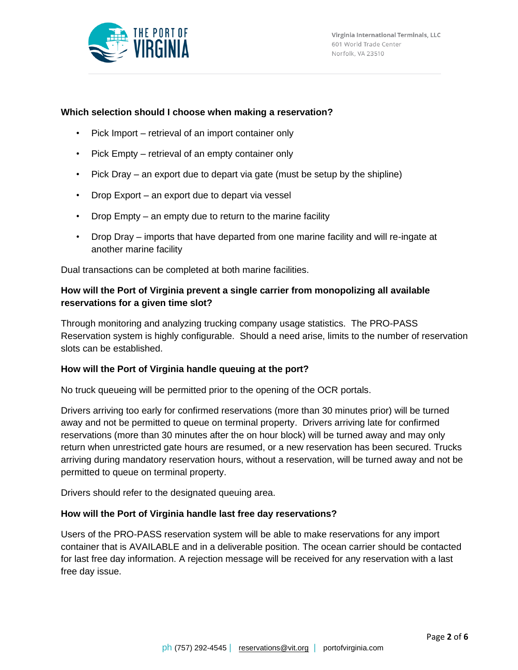

## **Which selection should I choose when making a reservation?**

- Pick Import retrieval of an import container only
- Pick Empty retrieval of an empty container only
- Pick Dray an export due to depart via gate (must be setup by the shipline)
- Drop Export an export due to depart via vessel
- Drop Empty an empty due to return to the marine facility
- Drop Dray imports that have departed from one marine facility and will re-ingate at another marine facility

Dual transactions can be completed at both marine facilities.

# **How will the Port of Virginia prevent a single carrier from monopolizing all available reservations for a given time slot?**

Through monitoring and analyzing trucking company usage statistics. The PRO-PASS Reservation system is highly configurable. Should a need arise, limits to the number of reservation slots can be established.

### **How will the Port of Virginia handle queuing at the port?**

No truck queueing will be permitted prior to the opening of the OCR portals.

Drivers arriving too early for confirmed reservations (more than 30 minutes prior) will be turned away and not be permitted to queue on terminal property. Drivers arriving late for confirmed reservations (more than 30 minutes after the on hour block) will be turned away and may only return when unrestricted gate hours are resumed, or a new reservation has been secured. Trucks arriving during mandatory reservation hours, without a reservation, will be turned away and not be permitted to queue on terminal property.

Drivers should refer to the designated queuing area.

### **How will the Port of Virginia handle last free day reservations?**

Users of the PRO-PASS reservation system will be able to make reservations for any import container that is AVAILABLE and in a deliverable position. The ocean carrier should be contacted for last free day information. A rejection message will be received for any reservation with a last free day issue.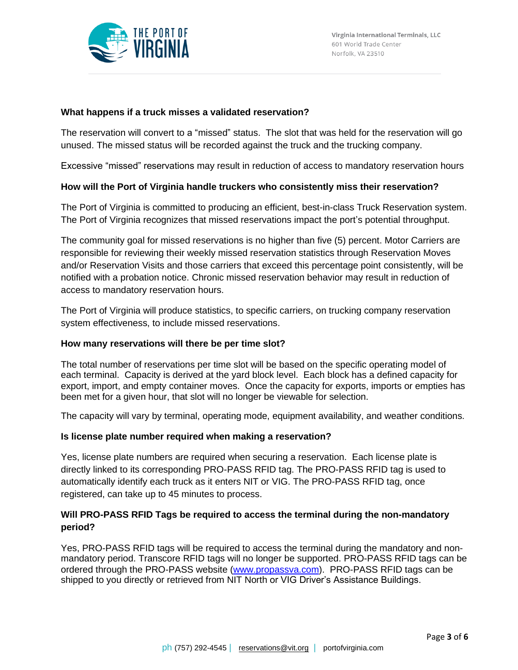

## **What happens if a truck misses a validated reservation?**

The reservation will convert to a "missed" status. The slot that was held for the reservation will go unused. The missed status will be recorded against the truck and the trucking company.

Excessive "missed" reservations may result in reduction of access to mandatory reservation hours

### **How will the Port of Virginia handle truckers who consistently miss their reservation?**

The Port of Virginia is committed to producing an efficient, best-in-class Truck Reservation system. The Port of Virginia recognizes that missed reservations impact the port's potential throughput.

The community goal for missed reservations is no higher than five (5) percent. Motor Carriers are responsible for reviewing their weekly missed reservation statistics through Reservation Moves and/or Reservation Visits and those carriers that exceed this percentage point consistently, will be notified with a probation notice. Chronic missed reservation behavior may result in reduction of access to mandatory reservation hours.

The Port of Virginia will produce statistics, to specific carriers, on trucking company reservation system effectiveness, to include missed reservations.

### **How many reservations will there be per time slot?**

The total number of reservations per time slot will be based on the specific operating model of each terminal. Capacity is derived at the yard block level. Each block has a defined capacity for export, import, and empty container moves. Once the capacity for exports, imports or empties has been met for a given hour, that slot will no longer be viewable for selection.

The capacity will vary by terminal, operating mode, equipment availability, and weather conditions.

### **Is license plate number required when making a reservation?**

Yes, license plate numbers are required when securing a reservation. Each license plate is directly linked to its corresponding PRO-PASS RFID tag. The PRO-PASS RFID tag is used to automatically identify each truck as it enters NIT or VIG. The PRO-PASS RFID tag, once registered, can take up to 45 minutes to process.

# **Will PRO-PASS RFID Tags be required to access the terminal during the non-mandatory period?**

Yes, PRO-PASS RFID tags will be required to access the terminal during the mandatory and nonmandatory period. Transcore RFID tags will no longer be supported. PRO-PASS RFID tags can be ordered through the PRO-PASS website [\(www.propassva.com\)](http://www.propassva.com/). PRO-PASS RFID tags can be shipped to you directly or retrieved from NIT North or VIG Driver's Assistance Buildings.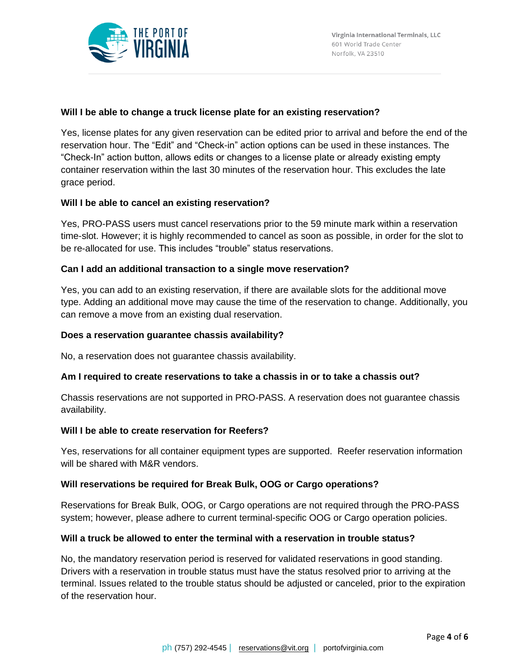

### **Will I be able to change a truck license plate for an existing reservation?**

Yes, license plates for any given reservation can be edited prior to arrival and before the end of the reservation hour. The "Edit" and "Check-in" action options can be used in these instances. The "Check-In" action button, allows edits or changes to a license plate or already existing empty container reservation within the last 30 minutes of the reservation hour. This excludes the late grace period.

### **Will I be able to cancel an existing reservation?**

Yes, PRO-PASS users must cancel reservations prior to the 59 minute mark within a reservation time-slot. However; it is highly recommended to cancel as soon as possible, in order for the slot to be re-allocated for use. This includes "trouble" status reservations.

### **Can I add an additional transaction to a single move reservation?**

Yes, you can add to an existing reservation, if there are available slots for the additional move type. Adding an additional move may cause the time of the reservation to change. Additionally, you can remove a move from an existing dual reservation.

### **Does a reservation guarantee chassis availability?**

No, a reservation does not guarantee chassis availability.

### **Am I required to create reservations to take a chassis in or to take a chassis out?**

Chassis reservations are not supported in PRO-PASS. A reservation does not guarantee chassis availability.

### **Will I be able to create reservation for Reefers?**

Yes, reservations for all container equipment types are supported. Reefer reservation information will be shared with M&R vendors.

### **Will reservations be required for Break Bulk, OOG or Cargo operations?**

Reservations for Break Bulk, OOG, or Cargo operations are not required through the PRO-PASS system; however, please adhere to current terminal-specific OOG or Cargo operation policies.

### **Will a truck be allowed to enter the terminal with a reservation in trouble status?**

No, the mandatory reservation period is reserved for validated reservations in good standing. Drivers with a reservation in trouble status must have the status resolved prior to arriving at the terminal. Issues related to the trouble status should be adjusted or canceled, prior to the expiration of the reservation hour.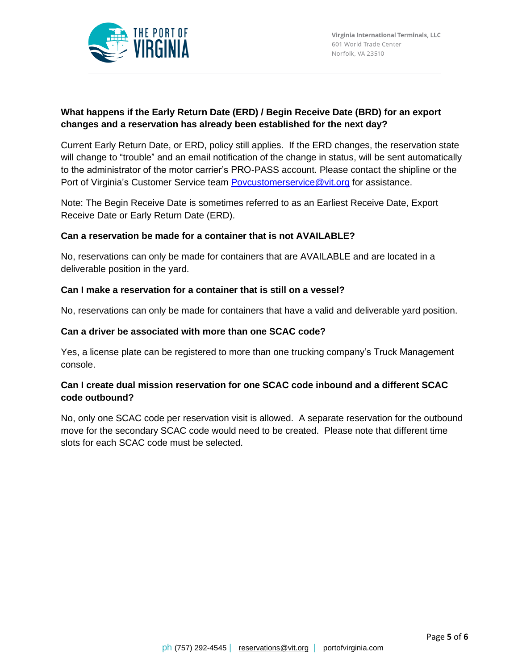

# **What happens if the Early Return Date (ERD) / Begin Receive Date (BRD) for an export changes and a reservation has already been established for the next day?**

Current Early Return Date, or ERD, policy still applies. If the ERD changes, the reservation state will change to "trouble" and an email notification of the change in status, will be sent automatically to the administrator of the motor carrier's PRO-PASS account. Please contact the shipline or the Port of Virginia's Customer Service team [Povcustomerservice@vit.org](mailto:Povcustomerservice@vit.org) for assistance.

Note: The Begin Receive Date is sometimes referred to as an Earliest Receive Date, Export Receive Date or Early Return Date (ERD).

### **Can a reservation be made for a container that is not AVAILABLE?**

No, reservations can only be made for containers that are AVAILABLE and are located in a deliverable position in the yard.

### **Can I make a reservation for a container that is still on a vessel?**

No, reservations can only be made for containers that have a valid and deliverable yard position.

### **Can a driver be associated with more than one SCAC code?**

Yes, a license plate can be registered to more than one trucking company's Truck Management console.

# **Can I create dual mission reservation for one SCAC code inbound and a different SCAC code outbound?**

No, only one SCAC code per reservation visit is allowed. A separate reservation for the outbound move for the secondary SCAC code would need to be created. Please note that different time slots for each SCAC code must be selected.